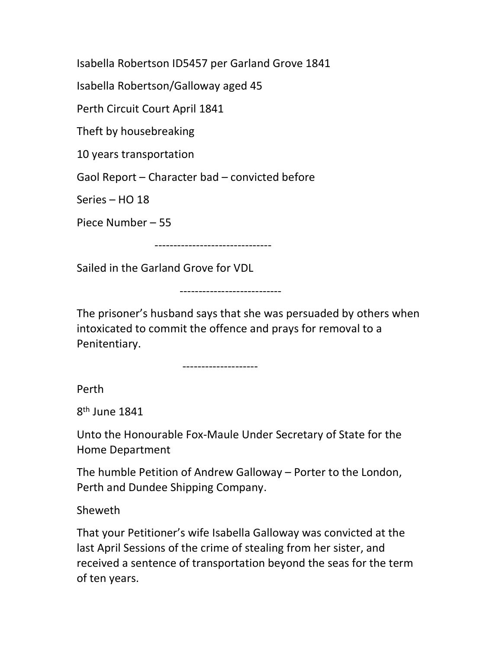Isabella Robertson ID5457 per Garland Grove 1841

Isabella Robertson/Galloway aged 45

Perth Circuit Court April 1841

Theft by housebreaking

10 years transportation

Gaol Report – Character bad – convicted before

Series – HO 18

Piece Number – 55

-------------------------------

Sailed in the Garland Grove for VDL

---------------------------

The prisoner's husband says that she was persuaded by others when intoxicated to commit the offence and prays for removal to a Penitentiary.

--------------------

Perth

8<sup>th</sup> June 1841

Unto the Honourable Fox-Maule Under Secretary of State for the Home Department

The humble Petition of Andrew Galloway – Porter to the London, Perth and Dundee Shipping Company.

Sheweth

That your Petitioner's wife Isabella Galloway was convicted at the last April Sessions of the crime of stealing from her sister, and received a sentence of transportation beyond the seas for the term of ten years.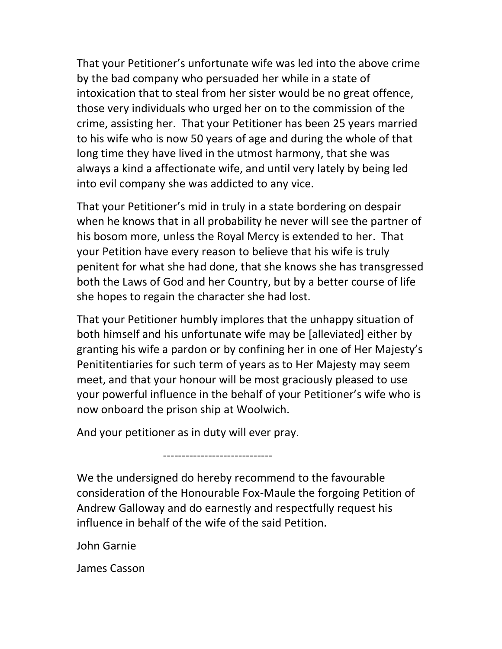That your Petitioner's unfortunate wife was led into the above crime by the bad company who persuaded her while in a state of intoxication that to steal from her sister would be no great offence, those very individuals who urged her on to the commission of the crime, assisting her. That your Petitioner has been 25 years married to his wife who is now 50 years of age and during the whole of that long time they have lived in the utmost harmony, that she was always a kind a affectionate wife, and until very lately by being led into evil company she was addicted to any vice.

That your Petitioner's mid in truly in a state bordering on despair when he knows that in all probability he never will see the partner of his bosom more, unless the Royal Mercy is extended to her. That your Petition have every reason to believe that his wife is truly penitent for what she had done, that she knows she has transgressed both the Laws of God and her Country, but by a better course of life she hopes to regain the character she had lost.

That your Petitioner humbly implores that the unhappy situation of both himself and his unfortunate wife may be [alleviated] either by granting his wife a pardon or by confining her in one of Her Majesty's Penititentiaries for such term of years as to Her Majesty may seem meet, and that your honour will be most graciously pleased to use your powerful influence in the behalf of your Petitioner's wife who is now onboard the prison ship at Woolwich.

And your petitioner as in duty will ever pray.

-----------------------------

We the undersigned do hereby recommend to the favourable consideration of the Honourable Fox-Maule the forgoing Petition of Andrew Galloway and do earnestly and respectfully request his influence in behalf of the wife of the said Petition.

John Garnie

James Casson